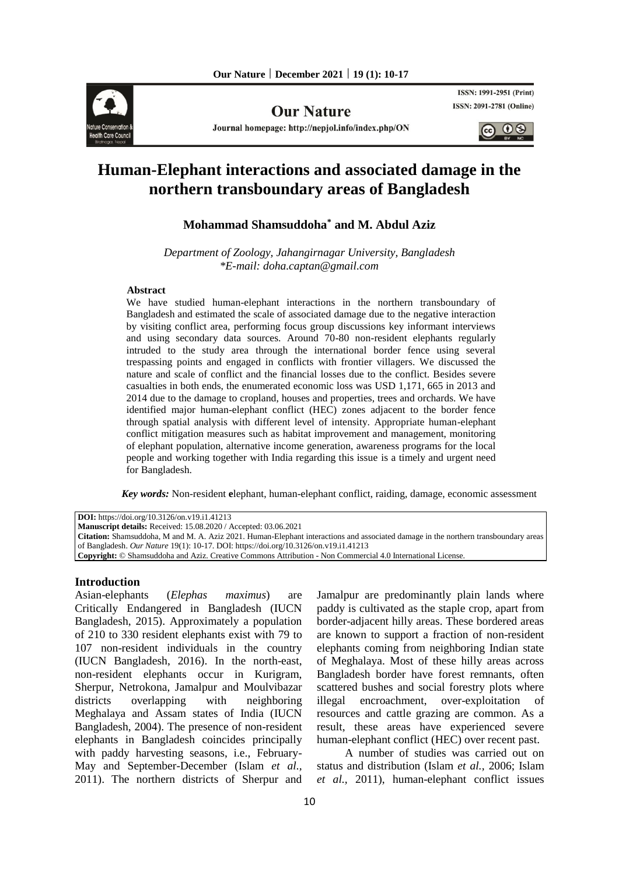

**Our Nature** 

Journal homepage: http://nepjol.info/index.php/ON

**ISSN: 1991-2951 (Print) ISSN: 2091-2781 (Online)** 

 $\circledcirc$   $\circledcirc$ 

# **Human-Elephant interactions and associated damage in the northern transboundary areas of Bangladesh**

# **Mohammad Shamsuddoha\* and M. Abdul Aziz**

*Department of Zoology, Jahangirnagar University, Bangladesh \*E-mail: [doha.captan@gmail.com](mailto:doha.captan@gmail.com)*

#### **Abstract**

We have studied human-elephant interactions in the northern transboundary of Bangladesh and estimated the scale of associated damage due to the negative interaction by visiting conflict area, performing focus group discussions key informant interviews and using secondary data sources. Around 70-80 non-resident elephants regularly intruded to the study area through the international border fence using several trespassing points and engaged in conflicts with frontier villagers. We discussed the nature and scale of conflict and the financial losses due to the conflict. Besides severe casualties in both ends, the enumerated economic loss was USD 1,171, 665 in 2013 and 2014 due to the damage to cropland, houses and properties, trees and orchards. We have identified major human-elephant conflict (HEC) zones adjacent to the border fence through spatial analysis with different level of intensity. Appropriate human-elephant conflict mitigation measures such as habitat improvement and management, monitoring of elephant population, alternative income generation, awareness programs for the local people and working together with India regarding this issue is a timely and urgent need for Bangladesh.

 *Key words:* Non-resident **e**lephant, human-elephant conflict, raiding, damage, economic assessment

**DOI:** https://doi.org/10.3126/on.v19.i1.41213 **Manuscript details:** Received: 15.08.2020 / Accepted: 03.06.2021 **Citation:** Shamsuddoha, M and M. A. Aziz 2021. Human-Elephant interactions and associated damage in the northern transboundary areas of Bangladesh. *Our Nature* 19(1): 10-17. DOI: https://doi.org/10.3126/on.v19.i1.41213 **Copyright:** © Shamsuddoha and Aziz. Creative Commons Attribution - Non Commercial 4.0 International License.

### **Introduction**

Asian-elephants (*Elephas maximus*) are Critically Endangered in Bangladesh (IUCN Bangladesh, 2015). Approximately a population of 210 to 330 resident elephants exist with 79 to 107 non-resident individuals in the country (IUCN Bangladesh, 2016). In the north-east, non-resident elephants occur in Kurigram, Sherpur, Netrokona, Jamalpur and Moulvibazar districts overlapping with neighboring Meghalaya and Assam states of India (IUCN Bangladesh, 2004). The presence of non-resident elephants in Bangladesh coincides principally with paddy harvesting seasons, i.e., February-May and September-December (Islam *et al.,* 2011). The northern districts of Sherpur and

Jamalpur are predominantly plain lands where paddy is cultivated as the staple crop, apart from border-adjacent hilly areas. These bordered areas are known to support a fraction of non-resident elephants coming from neighboring Indian state of Meghalaya. Most of these hilly areas across Bangladesh border have forest remnants, often scattered bushes and social forestry plots where illegal encroachment, over-exploitation of resources and cattle grazing are common. As a result, these areas have experienced severe human-elephant conflict (HEC) over recent past.

A number of studies was carried out on status and distribution (Islam *et al.,* 2006; Islam *et al.,* 2011), human-elephant conflict issues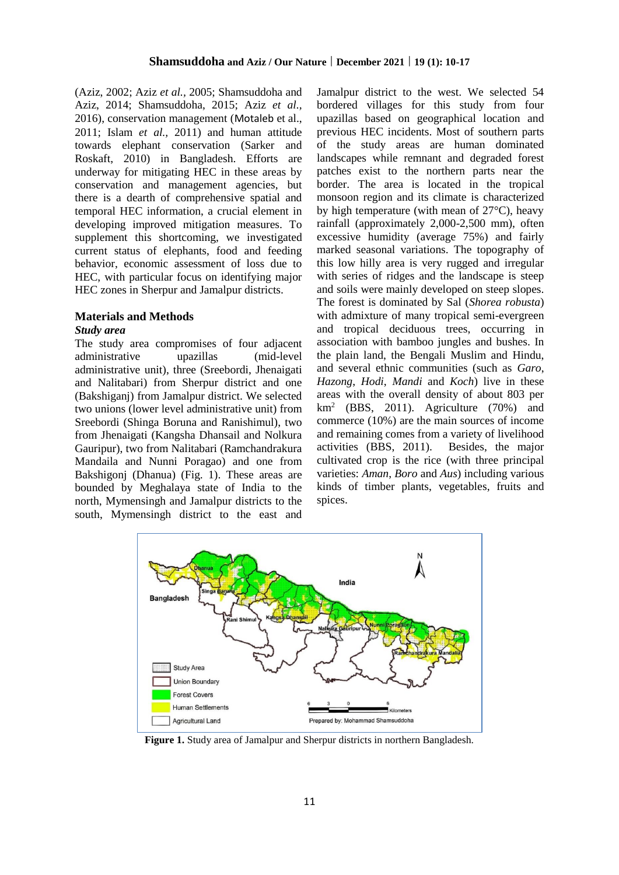(Aziz, 2002; Aziz *et al.,* 2005; Shamsuddoha and Aziz, 2014; Shamsuddoha, 2015; Aziz *et al.,* 2016), conservation management (Motaleb et al., 2011; Islam *et al.,* 2011) and human attitude towards elephant conservation (Sarker and Roskaft, 2010) in Bangladesh. Efforts are underway for mitigating HEC in these areas by conservation and management agencies, but there is a dearth of comprehensive spatial and temporal HEC information, a crucial element in developing improved mitigation measures. To supplement this shortcoming, we investigated current status of elephants, food and feeding behavior, economic assessment of loss due to HEC, with particular focus on identifying major HEC zones in Sherpur and Jamalpur districts.

#### **Materials and Methods**

#### *Study area*

The study area compromises of four adjacent administrative upazillas (mid-level administrative unit), three (Sreebordi, Jhenaigati and Nalitabari) from Sherpur district and one (Bakshiganj) from Jamalpur district. We selected two unions (lower level administrative unit) from Sreebordi (Shinga Boruna and Ranishimul), two from Jhenaigati (Kangsha Dhansail and Nolkura Gauripur), two from Nalitabari (Ramchandrakura Mandaila and Nunni Poragao) and one from Bakshigonj (Dhanua) (Fig. 1). These areas are bounded by Meghalaya state of India to the north, Mymensingh and Jamalpur districts to the south, Mymensingh district to the east and

Jamalpur district to the west. We selected 54 bordered villages for this study from four upazillas based on geographical location and previous HEC incidents. Most of southern parts of the study areas are human dominated landscapes while remnant and degraded forest patches exist to the northern parts near the border. The area is located in the tropical monsoon region and its climate is characterized by high temperature (with mean of 27°C), heavy rainfall (approximately 2,000-2,500 mm), often excessive humidity (average 75%) and fairly marked seasonal variations. The topography of this low hilly area is very rugged and irregular with series of ridges and the landscape is steep and soils were mainly developed on steep slopes. The forest is dominated by Sal (*Shorea robusta*) with admixture of many tropical semi-evergreen and tropical deciduous trees, occurring in association with bamboo jungles and bushes. In the plain land, the Bengali Muslim and Hindu, and several ethnic communities (such as *Garo*, *Hazong*, *Hodi*, *Mandi* and *Koch*) live in these areas with the overall density of about 803 per  $km<sup>2</sup>$  (BBS, 2011). Agriculture (70%) and commerce (10%) are the main sources of income and remaining comes from a variety of livelihood activities (BBS, 2011). Besides, the major cultivated crop is the rice (with three principal varieties: *Aman*, *Boro* and *Aus*) including various kinds of timber plants, vegetables, fruits and spices.



**Figure 1.** Study area of Jamalpur and Sherpur districts in northern Bangladesh.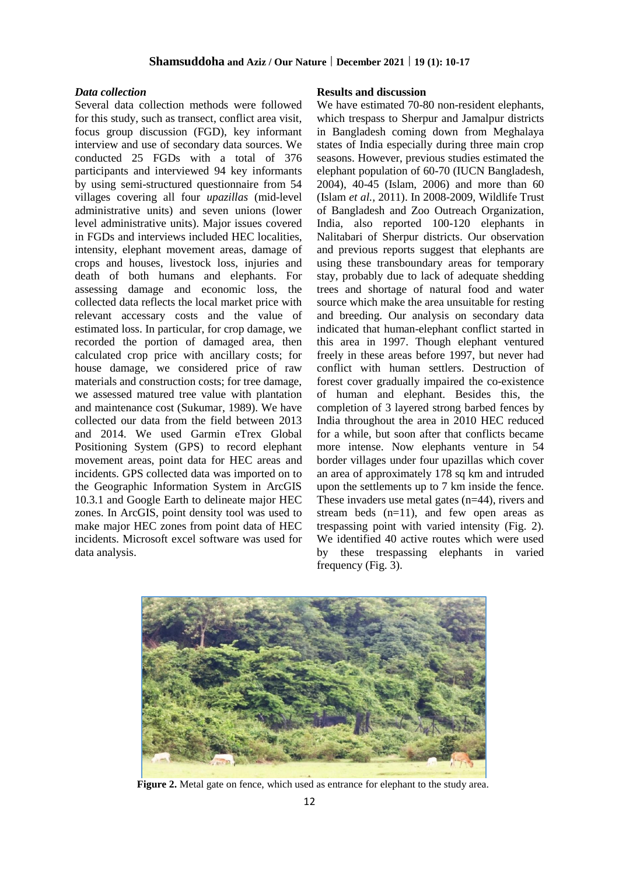### **Shamsuddoha and Aziz / Our Nature | December 2021 | 19 (1): 10-17**

#### *Data collection*

Several data collection methods were followed for this study, such as transect, conflict area visit, focus group discussion (FGD), key informant interview and use of secondary data sources. We conducted 25 FGDs with a total of 376 participants and interviewed 94 key informants by using semi-structured questionnaire from 54 villages covering all four *upazillas* (mid-level administrative units) and seven unions (lower level administrative units). Major issues covered in FGDs and interviews included HEC localities, intensity, elephant movement areas, damage of crops and houses, livestock loss, injuries and death of both humans and elephants. For assessing damage and economic loss, the collected data reflects the local market price with relevant accessary costs and the value of estimated loss. In particular, for crop damage, we recorded the portion of damaged area, then calculated crop price with ancillary costs; for house damage, we considered price of raw materials and construction costs; for tree damage, we assessed matured tree value with plantation and maintenance cost (Sukumar, 1989). We have collected our data from the field between 2013 and 2014. We used Garmin eTrex Global Positioning System (GPS) to record elephant movement areas, point data for HEC areas and incidents. GPS collected data was imported on to the Geographic Information System in ArcGIS 10.3.1 and Google Earth to delineate major HEC zones. In ArcGIS, point density tool was used to make major HEC zones from point data of HEC incidents. Microsoft excel software was used for data analysis.

### **Results and discussion**

We have estimated 70-80 non-resident elephants, which trespass to Sherpur and Jamalpur districts in Bangladesh coming down from Meghalaya states of India especially during three main crop seasons. However, previous studies estimated the elephant population of 60-70 (IUCN Bangladesh, 2004), 40-45 (Islam, 2006) and more than 60 (Islam *et al.,* 2011). In 2008-2009, Wildlife Trust of Bangladesh and Zoo Outreach Organization, India, also reported 100-120 elephants in Nalitabari of Sherpur districts. Our observation and previous reports suggest that elephants are using these transboundary areas for temporary stay, probably due to lack of adequate shedding trees and shortage of natural food and water source which make the area unsuitable for resting and breeding. Our analysis on secondary data indicated that human-elephant conflict started in this area in 1997. Though elephant ventured freely in these areas before 1997, but never had conflict with human settlers. Destruction of forest cover gradually impaired the co-existence of human and elephant. Besides this, the completion of 3 layered strong barbed fences by India throughout the area in 2010 HEC reduced for a while, but soon after that conflicts became more intense. Now elephants venture in 54 border villages under four upazillas which cover an area of approximately 178 sq km and intruded upon the settlements up to 7 km inside the fence. These invaders use metal gates (n=44), rivers and stream beds  $(n=11)$ , and few open areas as trespassing point with varied intensity (Fig. 2). We identified 40 active routes which were used by these trespassing elephants in varied frequency (Fig. 3).



Figure 2. Metal gate on fence, which used as entrance for elephant to the study area.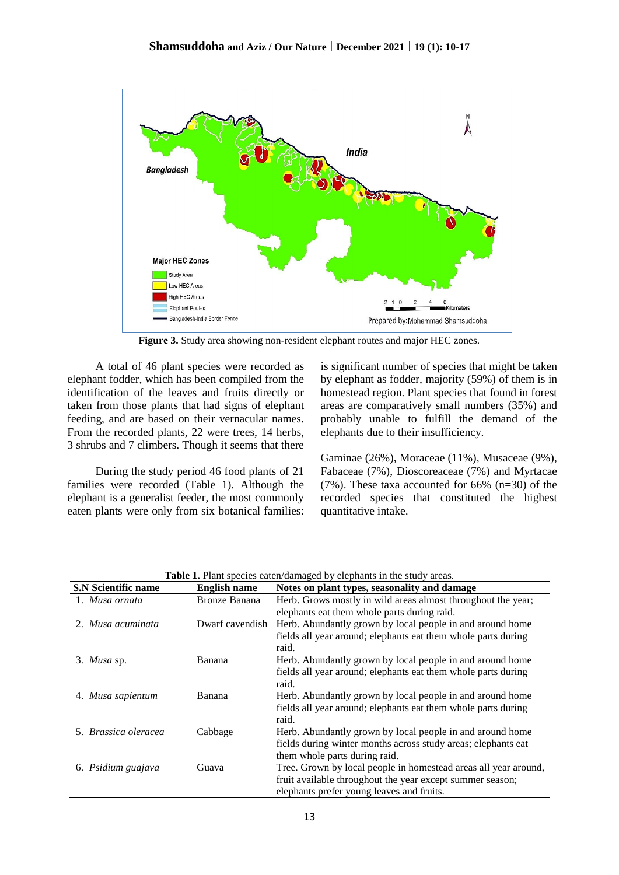

**Figure 3.** Study area showing non-resident elephant routes and major HEC zones.

A total of 46 plant species were recorded as elephant fodder, which has been compiled from the identification of the leaves and fruits directly or taken from those plants that had signs of elephant feeding, and are based on their vernacular names. From the recorded plants, 22 were trees, 14 herbs, 3 shrubs and 7 climbers. Though it seems that there

During the study period 46 food plants of 21 families were recorded (Table 1). Although the elephant is a generalist feeder, the most commonly eaten plants were only from six botanical families: is significant number of species that might be taken by elephant as fodder, majority (59%) of them is in homestead region. Plant species that found in forest areas are comparatively small numbers (35%) and probably unable to fulfill the demand of the elephants due to their insufficiency.

Gaminae (26%), Moraceae (11%), Musaceae (9%), Fabaceae (7%), Dioscoreaceae (7%) and Myrtacae (7%). These taxa accounted for 66% (n=30) of the recorded species that constituted the highest quantitative intake.

| <b>S.N Scientific name</b> | <b>English name</b>  | Notes on plant types, seasonality and damage                           |
|----------------------------|----------------------|------------------------------------------------------------------------|
| 1. Musa ornata             | <b>Bronze Banana</b> | Herb. Grows mostly in wild areas almost throughout the year;           |
|                            |                      | elephants eat them whole parts during raid.                            |
| 2. Musa acuminata          | Dwarf cavendish      | Herb. Abundantly grown by local people in and around home              |
|                            |                      | fields all year around; elephants eat them whole parts during<br>raid. |
| 3. Musa sp.                | Banana               | Herb. Abundantly grown by local people in and around home              |
|                            |                      | fields all year around; elephants eat them whole parts during<br>raid. |
| 4. Musa sapientum          | Banana               | Herb. Abundantly grown by local people in and around home              |
|                            |                      | fields all year around; elephants eat them whole parts during<br>raid. |
| 5. Brassica oleracea       | Cabbage              | Herb. Abundantly grown by local people in and around home              |
|                            |                      | fields during winter months across study areas; elephants eat          |
|                            |                      | them whole parts during raid.                                          |
| 6. Psidium guajava         | Guava                | Tree. Grown by local people in homestead areas all year around,        |
|                            |                      | fruit available throughout the year except summer season;              |
|                            |                      | elephants prefer young leaves and fruits.                              |

Table 1. Plant species eaten/damaged by elephants in the study areas.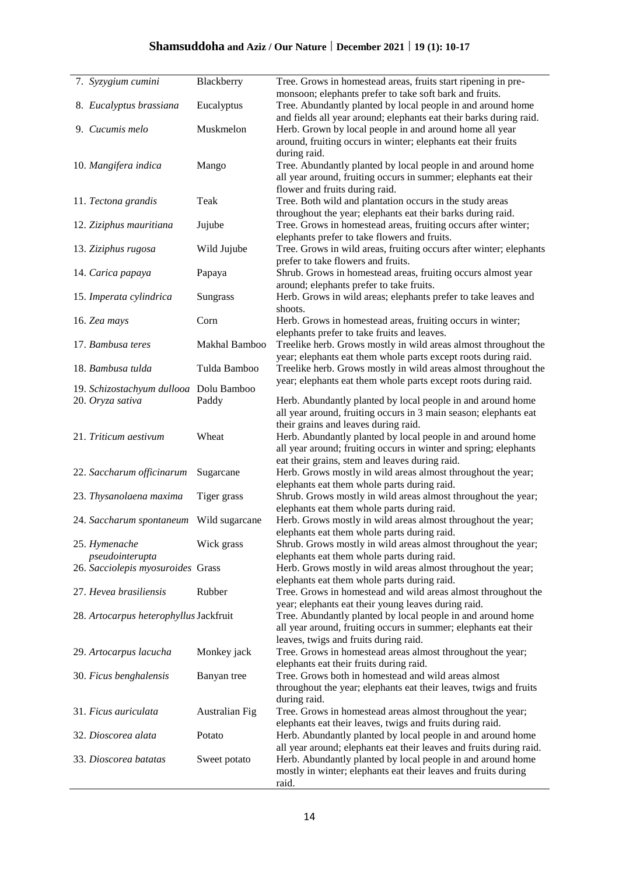|                                        | 7. Syzygium cumini                      | Blackberry     | Tree. Grows in homestead areas, fruits start ripening in pre-                                                                     |
|----------------------------------------|-----------------------------------------|----------------|-----------------------------------------------------------------------------------------------------------------------------------|
|                                        |                                         |                | monsoon; elephants prefer to take soft bark and fruits.                                                                           |
|                                        | 8. Eucalyptus brassiana                 | Eucalyptus     | Tree. Abundantly planted by local people in and around home<br>and fields all year around; elephants eat their barks during raid. |
|                                        | 9. Cucumis melo                         | Muskmelon      | Herb. Grown by local people in and around home all year                                                                           |
|                                        |                                         |                | around, fruiting occurs in winter; elephants eat their fruits<br>during raid.                                                     |
|                                        | 10. Mangifera indica                    | Mango          | Tree. Abundantly planted by local people in and around home                                                                       |
|                                        |                                         |                | all year around, fruiting occurs in summer; elephants eat their<br>flower and fruits during raid.                                 |
|                                        | 11. Tectona grandis                     | Teak           | Tree. Both wild and plantation occurs in the study areas                                                                          |
|                                        |                                         |                | throughout the year; elephants eat their barks during raid.                                                                       |
|                                        | 12. Ziziphus mauritiana                 | Jujube         | Tree. Grows in homestead areas, fruiting occurs after winter;                                                                     |
|                                        |                                         |                | elephants prefer to take flowers and fruits.                                                                                      |
|                                        | 13. Ziziphus rugosa                     | Wild Jujube    | Tree. Grows in wild areas, fruiting occurs after winter; elephants                                                                |
|                                        |                                         |                | prefer to take flowers and fruits.                                                                                                |
|                                        | 14. Carica papaya                       | Papaya         | Shrub. Grows in homestead areas, fruiting occurs almost year                                                                      |
|                                        |                                         |                | around; elephants prefer to take fruits.                                                                                          |
|                                        | 15. Imperata cylindrica                 | Sungrass       | Herb. Grows in wild areas; elephants prefer to take leaves and<br>shoots.                                                         |
|                                        | 16. Zea mays                            | Corn           | Herb. Grows in homestead areas, fruiting occurs in winter;                                                                        |
|                                        |                                         |                | elephants prefer to take fruits and leaves.                                                                                       |
|                                        | 17. Bambusa teres                       | Makhal Bamboo  | Treelike herb. Grows mostly in wild areas almost throughout the                                                                   |
|                                        |                                         |                | year; elephants eat them whole parts except roots during raid.                                                                    |
|                                        | 18. Bambusa tulda                       | Tulda Bamboo   | Treelike herb. Grows mostly in wild areas almost throughout the                                                                   |
|                                        | 19. Schizostachyum dullooa Dolu Bamboo  |                | year; elephants eat them whole parts except roots during raid.                                                                    |
|                                        | 20. Oryza sativa                        | Paddy          | Herb. Abundantly planted by local people in and around home                                                                       |
|                                        |                                         |                | all year around, fruiting occurs in 3 main season; elephants eat                                                                  |
|                                        |                                         |                | their grains and leaves during raid.                                                                                              |
|                                        | 21. Triticum aestivum                   | Wheat          | Herb. Abundantly planted by local people in and around home                                                                       |
|                                        |                                         |                | all year around; fruiting occurs in winter and spring; elephants                                                                  |
|                                        |                                         |                | eat their grains, stem and leaves during raid.                                                                                    |
|                                        | 22. Saccharum officinarum               | Sugarcane      | Herb. Grows mostly in wild areas almost throughout the year;<br>elephants eat them whole parts during raid.                       |
|                                        | 23. Thysanolaena maxima                 | Tiger grass    | Shrub. Grows mostly in wild areas almost throughout the year;                                                                     |
|                                        |                                         |                | elephants eat them whole parts during raid.                                                                                       |
|                                        | 24. Saccharum spontaneum Wild sugarcane |                | Herb. Grows mostly in wild areas almost throughout the year;                                                                      |
|                                        |                                         |                | elephants eat them whole parts during raid.                                                                                       |
|                                        | 25. Hymenache                           | Wick grass     | Shrub. Grows mostly in wild areas almost throughout the year;                                                                     |
|                                        | pseudointerupta                         |                | elephants eat them whole parts during raid.                                                                                       |
|                                        | 26. Sacciolepis myosuroides Grass       |                | Herb. Grows mostly in wild areas almost throughout the year;                                                                      |
|                                        | 27. Hevea brasiliensis                  | Rubber         | elephants eat them whole parts during raid.<br>Tree. Grows in homestead and wild areas almost throughout the                      |
|                                        |                                         |                | year; elephants eat their young leaves during raid.                                                                               |
| 28. Artocarpus heterophyllus Jackfruit |                                         |                | Tree. Abundantly planted by local people in and around home                                                                       |
|                                        |                                         |                | all year around, fruiting occurs in summer; elephants eat their                                                                   |
|                                        |                                         |                | leaves, twigs and fruits during raid.                                                                                             |
|                                        | 29. Artocarpus lacucha                  | Monkey jack    | Tree. Grows in homestead areas almost throughout the year;                                                                        |
|                                        |                                         |                | elephants eat their fruits during raid.                                                                                           |
|                                        | 30. Ficus benghalensis                  | Banyan tree    | Tree. Grows both in homestead and wild areas almost                                                                               |
|                                        |                                         |                | throughout the year; elephants eat their leaves, twigs and fruits                                                                 |
|                                        |                                         |                | during raid.                                                                                                                      |
|                                        | 31. Ficus auriculata                    | Australian Fig | Tree. Grows in homestead areas almost throughout the year;<br>elephants eat their leaves, twigs and fruits during raid.           |
|                                        | 32. Dioscorea alata                     | Potato         | Herb. Abundantly planted by local people in and around home                                                                       |
|                                        |                                         |                | all year around; elephants eat their leaves and fruits during raid.                                                               |
|                                        | 33. Dioscorea batatas                   | Sweet potato   | Herb. Abundantly planted by local people in and around home                                                                       |
|                                        |                                         |                |                                                                                                                                   |
|                                        |                                         |                | mostly in winter; elephants eat their leaves and fruits during                                                                    |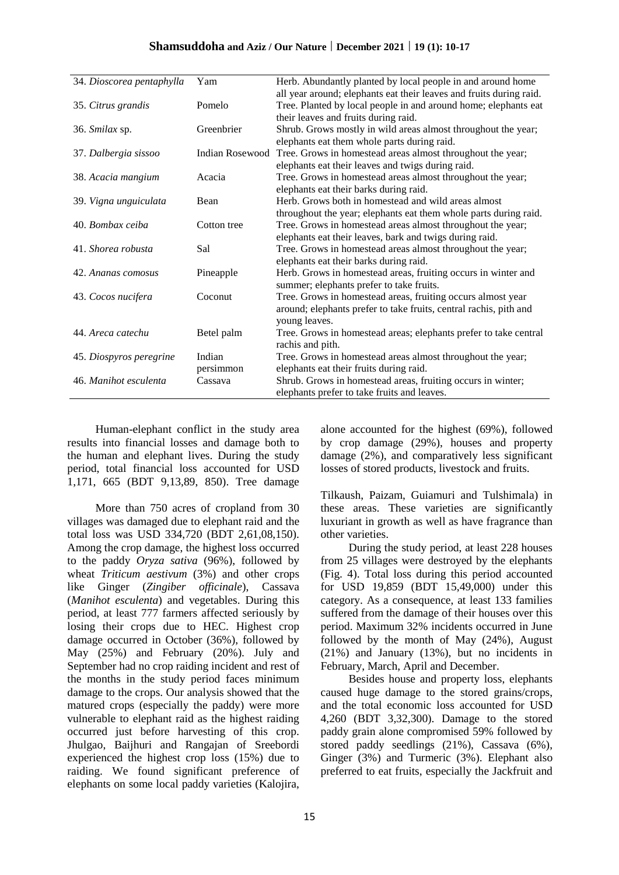| 34. Dioscorea pentaphylla | Yam             | Herb. Abundantly planted by local people in and around home         |
|---------------------------|-----------------|---------------------------------------------------------------------|
|                           |                 | all year around; elephants eat their leaves and fruits during raid. |
| 35. Citrus grandis        | Pomelo          | Tree. Planted by local people in and around home; elephants eat     |
|                           |                 | their leaves and fruits during raid.                                |
| 36. Smilax sp.            | Greenbrier      | Shrub. Grows mostly in wild areas almost throughout the year;       |
|                           |                 | elephants eat them whole parts during raid.                         |
| 37. Dalbergia sissoo      | Indian Rosewood | Tree. Grows in homestead areas almost throughout the year;          |
|                           |                 | elephants eat their leaves and twigs during raid.                   |
| 38. Acacia mangium        | Acacia          | Tree. Grows in homestead areas almost throughout the year;          |
|                           |                 | elephants eat their barks during raid.                              |
| 39. Vigna unguiculata     | Bean            | Herb. Grows both in homestead and wild areas almost                 |
|                           |                 | throughout the year; elephants eat them whole parts during raid.    |
| 40. Bombax ceiba          | Cotton tree     | Tree. Grows in homestead areas almost throughout the year;          |
|                           |                 | elephants eat their leaves, bark and twigs during raid.             |
| 41. Shorea robusta        | Sal             | Tree. Grows in homestead areas almost throughout the year;          |
|                           |                 | elephants eat their barks during raid.                              |
| 42. Ananas comosus        | Pineapple       | Herb. Grows in homestead areas, fruiting occurs in winter and       |
|                           |                 | summer; elephants prefer to take fruits.                            |
| 43. Cocos nucifera        | Coconut         | Tree. Grows in homestead areas, fruiting occurs almost year         |
|                           |                 | around; elephants prefer to take fruits, central rachis, pith and   |
|                           |                 | young leaves.                                                       |
| 44. Areca catechu         | Betel palm      | Tree. Grows in homestead areas; elephants prefer to take central    |
|                           |                 | rachis and pith.                                                    |
| 45. Diospyros peregrine   | Indian          | Tree. Grows in homestead areas almost throughout the year;          |
|                           | persimmon       | elephants eat their fruits during raid.                             |
| 46. Manihot esculenta     | Cassava         | Shrub. Grows in homestead areas, fruiting occurs in winter;         |
|                           |                 | elephants prefer to take fruits and leaves.                         |

Human-elephant conflict in the study area results into financial losses and damage both to the human and elephant lives. During the study period, total financial loss accounted for USD 1,171, 665 (BDT 9,13,89, 850). Tree damage

More than 750 acres of cropland from 30 villages was damaged due to elephant raid and the total loss was USD 334,720 (BDT 2,61,08,150). Among the crop damage, the highest loss occurred to the paddy *Oryza sativa* (96%), followed by wheat *Triticum aestivum* (3%) and other crops like Ginger (*Zingiber officinale*), Cassava (*Manihot esculenta*) and vegetables. During this period, at least 777 farmers affected seriously by losing their crops due to HEC. Highest crop damage occurred in October (36%), followed by May (25%) and February (20%). July and September had no crop raiding incident and rest of the months in the study period faces minimum damage to the crops. Our analysis showed that the matured crops (especially the paddy) were more vulnerable to elephant raid as the highest raiding occurred just before harvesting of this crop. Jhulgao, Baijhuri and Rangajan of Sreebordi experienced the highest crop loss (15%) due to raiding. We found significant preference of elephants on some local paddy varieties (Kalojira,

alone accounted for the highest (69%), followed by crop damage (29%), houses and property damage (2%), and comparatively less significant losses of stored products, livestock and fruits.

Tilkaush, Paizam, Guiamuri and Tulshimala) in these areas. These varieties are significantly luxuriant in growth as well as have fragrance than other varieties.

During the study period, at least 228 houses from 25 villages were destroyed by the elephants (Fig. 4). Total loss during this period accounted for USD 19,859 (BDT 15,49,000) under this category. As a consequence, at least 133 families suffered from the damage of their houses over this period. Maximum 32% incidents occurred in June followed by the month of May (24%), August (21%) and January (13%), but no incidents in February, March, April and December.

Besides house and property loss, elephants caused huge damage to the stored grains/crops, and the total economic loss accounted for USD 4,260 (BDT 3,32,300). Damage to the stored paddy grain alone compromised 59% followed by stored paddy seedlings (21%), Cassava (6%), Ginger (3%) and Turmeric (3%). Elephant also preferred to eat fruits, especially the Jackfruit and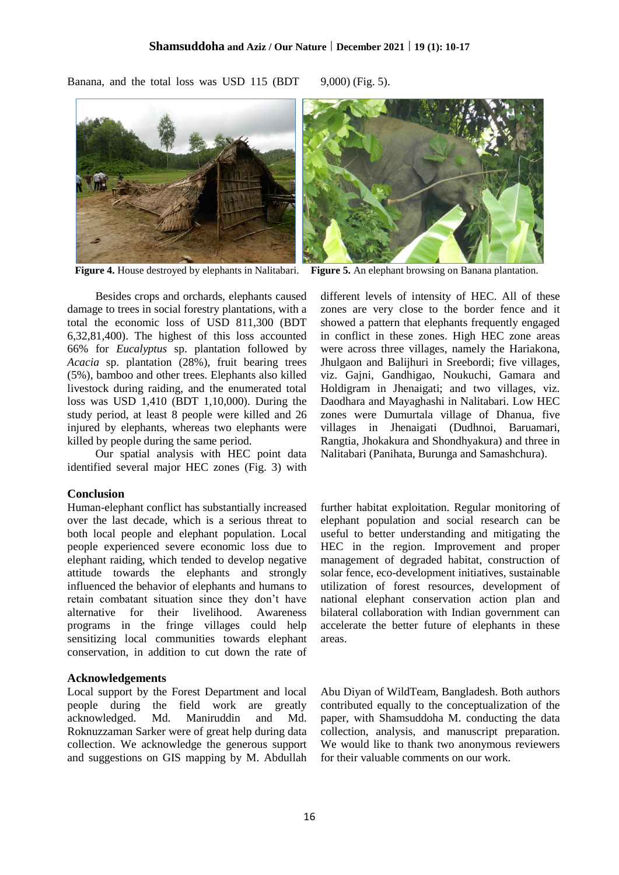Banana, and the total loss was USD 115 (BDT 9,000) (Fig. 5).



Besides crops and orchards, elephants caused damage to trees in social forestry plantations, with a total the economic loss of USD 811,300 (BDT 6,32,81,400). The highest of this loss accounted 66% for *Eucalyptus* sp. plantation followed by *Acacia* sp. plantation (28%), fruit bearing trees (5%), bamboo and other trees. Elephants also killed livestock during raiding, and the enumerated total loss was USD 1,410 (BDT 1,10,000). During the study period, at least 8 people were killed and 26 injured by elephants, whereas two elephants were killed by people during the same period.

Our spatial analysis with HEC point data identified several major HEC zones (Fig. 3) with

### **Conclusion**

Human-elephant conflict has substantially increased over the last decade, which is a serious threat to both local people and elephant population. Local people experienced severe economic loss due to elephant raiding, which tended to develop negative attitude towards the elephants and strongly influenced the behavior of elephants and humans to retain combatant situation since they don't have alternative for their livelihood. Awareness programs in the fringe villages could help sensitizing local communities towards elephant conservation, in addition to cut down the rate of

### **Acknowledgements**

Local support by the Forest Department and local people during the field work are greatly acknowledged. Md. Maniruddin and Md. Roknuzzaman Sarker were of great help during data collection. We acknowledge the generous support and suggestions on GIS mapping by M. Abdullah



**Figure 4.** House destroyed by elephants in Nalitabari. **Figure 5.** An elephant browsing on Banana plantation.

different levels of intensity of HEC. All of these zones are very close to the border fence and it showed a pattern that elephants frequently engaged in conflict in these zones. High HEC zone areas were across three villages, namely the Hariakona, Jhulgaon and Balijhuri in Sreebordi; five villages, viz. Gajni, Gandhigao, Noukuchi, Gamara and Holdigram in Jhenaigati; and two villages, viz. Daodhara and Mayaghashi in Nalitabari. Low HEC zones were Dumurtala village of Dhanua, five villages in Jhenaigati (Dudhnoi, Baruamari, Rangtia, Jhokakura and Shondhyakura) and three in Nalitabari (Panihata, Burunga and Samashchura).

further habitat exploitation. Regular monitoring of elephant population and social research can be useful to better understanding and mitigating the HEC in the region. Improvement and proper management of degraded habitat, construction of solar fence, eco-development initiatives, sustainable utilization of forest resources, development of national elephant conservation action plan and bilateral collaboration with Indian government can accelerate the better future of elephants in these areas.

Abu Diyan of WildTeam, Bangladesh. Both authors contributed equally to the conceptualization of the paper, with Shamsuddoha M. conducting the data collection, analysis, and manuscript preparation. We would like to thank two anonymous reviewers for their valuable comments on our work.